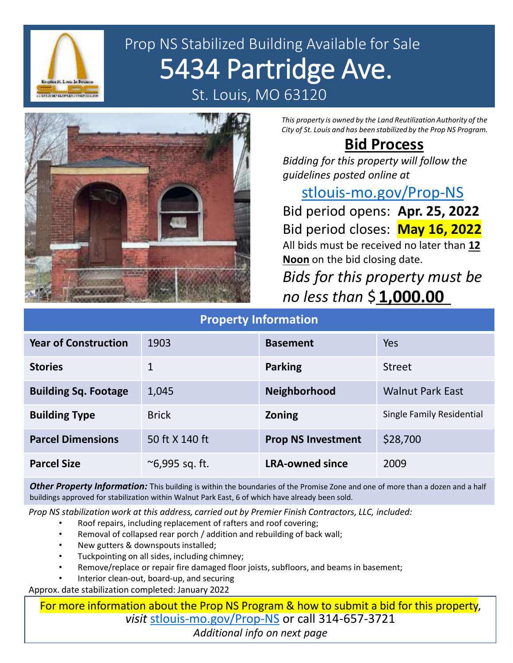

# Prop NS Stabilized Building Available for Sale 5434 Partridge Ave. St. Louis, MO 63120



*This property is owned by the Land Reutilization Authority of the City of St. Louis and has been stabilized by the Prop NS Program.*

#### **Bid Process**

*Bidding for this property will follow the guidelines posted online at* 

### [stlouis-mo.gov/Prop-NS](https://stlouis-mo.gov/Prop-NS)

Bid period opens: **Apr. 25, 2022** Bid period closes: **May 16, 2022** All bids must be received no later than **12 Noon** on the bid closing date.

*Bids for this property must be no less than* \$\_\_\_\_\_\_\_\_\_ **1,000.00**

| <b>Property Information</b> |                      |                           |                           |
|-----------------------------|----------------------|---------------------------|---------------------------|
| <b>Year of Construction</b> | 1903                 | <b>Basement</b>           | Yes                       |
| <b>Stories</b>              |                      | <b>Parking</b>            | <b>Street</b>             |
| <b>Building Sq. Footage</b> | 1,045                | <b>Neighborhood</b>       | <b>Walnut Park East</b>   |
| <b>Building Type</b>        | <b>Brick</b>         | <b>Zoning</b>             | Single Family Residential |
| <b>Parcel Dimensions</b>    | 50 ft X 140 ft       | <b>Prop NS Investment</b> | \$28,700                  |
| <b>Parcel Size</b>          | $\sim$ 6,995 sq. ft. | <b>LRA-owned since</b>    | 2009                      |

*Other Property Information:* This building is within the boundaries of the Promise Zone and one of more than a dozen and a half buildings approved for stabilization within Walnut Park East, 6 of which have already been sold.

*Prop NS stabilization work at this address, carried out by Premier Finish Contractors, LLC, included:*

- Roof repairs, including replacement of rafters and roof covering;
- Removal of collapsed rear porch / addition and rebuilding of back wall;
- New gutters & downspouts installed;
- Tuckpointing on all sides, including chimney;
- Remove/replace or repair fire damaged floor joists, subfloors, and beams in basement;

• Interior clean-out, board-up, and securing

Approx. date stabilization completed: January 2022

For more information about the Prop NS Program & how to submit a bid for this property, *visit* [stlouis-mo.gov/Prop-NS](https://stlouis-mo.gov/Prop-NS) or call 314-657-3721

*Additional info on next page*